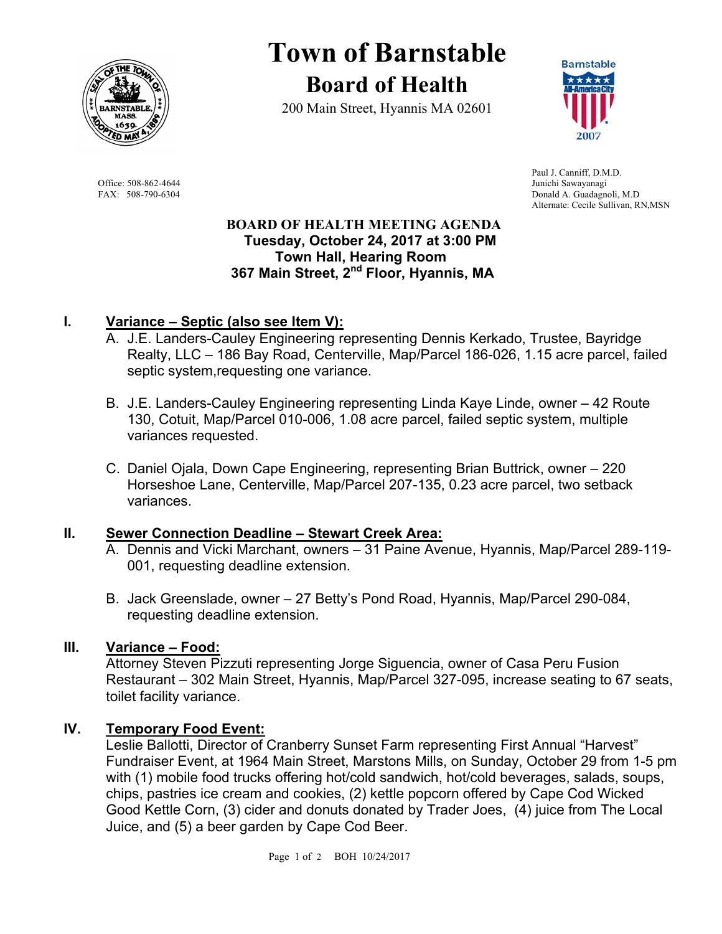

# **Town of Barnstable Board of Health**

200 Main Street, Hyannis MA 02601



Office: 508-862-4644 Junichi Sawayanagi<br>
FAX: 508-790-6304 Donald A. Guadagne

 Paul J. Canniff, D.M.D. Donald A. Guadagnoli, M.D Alternate: Cecile Sullivan, RN,MSN

#### **BOARD OF HEALTH MEETING AGENDA Tuesday, October 24, 2017 at 3:00 PM Town Hall, Hearing Room 367 Main Street, 2nd Floor, Hyannis, MA**

## **I. Variance – Septic (also see Item V):**

- A. J.E. Landers-Cauley Engineering representing Dennis Kerkado, Trustee, Bayridge Realty, LLC – 186 Bay Road, Centerville, Map/Parcel 186-026, 1.15 acre parcel, failed septic system,requesting one variance.
- B. J.E. Landers-Cauley Engineering representing Linda Kaye Linde, owner 42 Route 130, Cotuit, Map/Parcel 010-006, 1.08 acre parcel, failed septic system, multiple variances requested.
- C. Daniel Ojala, Down Cape Engineering, representing Brian Buttrick, owner 220 Horseshoe Lane, Centerville, Map/Parcel 207-135, 0.23 acre parcel, two setback variances.

#### **II. Sewer Connection Deadline – Stewart Creek Area:**

- A. Dennis and Vicki Marchant, owners 31 Paine Avenue, Hyannis, Map/Parcel 289-119- 001, requesting deadline extension.
- B. Jack Greenslade, owner 27 Betty's Pond Road, Hyannis, Map/Parcel 290-084, requesting deadline extension.

#### **III. Variance – Food:**

Attorney Steven Pizzuti representing Jorge Siguencia, owner of Casa Peru Fusion Restaurant – 302 Main Street, Hyannis, Map/Parcel 327-095, increase seating to 67 seats, toilet facility variance.

#### **IV. Temporary Food Event:**

Leslie Ballotti, Director of Cranberry Sunset Farm representing First Annual "Harvest" Fundraiser Event, at 1964 Main Street, Marstons Mills, on Sunday, October 29 from 1-5 pm with (1) mobile food trucks offering hot/cold sandwich, hot/cold beverages, salads, soups, chips, pastries ice cream and cookies, (2) kettle popcorn offered by Cape Cod Wicked Good Kettle Corn, (3) cider and donuts donated by Trader Joes, (4) juice from The Local Juice, and (5) a beer garden by Cape Cod Beer.